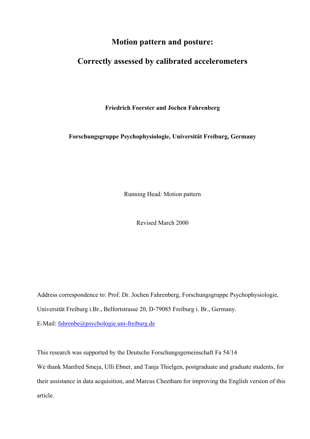## **Motion pattern and posture:**

# **Correctly assessed by calibrated accelerometers**

**Friedrich Foerster and Jochen Fahrenberg** 

**Forschungsgruppe Psychophysiologie, Universität Freiburg, Germany** 

Running Head: Motion pattern

Revised March 2000

Address correspondence to: Prof. Dr. Jochen Fahrenberg, Forschungsgruppe Psychophysiologie, Universität Freiburg i.Br., Belfortstrasse 20, D-79085 Freiburg i. Br., Germany.

E-Mail: [fahrenbe@psychologie.uni-freiburg.de](mailto:fahrenbe@psychologie.uni-freiburg.de)

This research was supported by the Deutsche Forschungsgemeinschaft Fa 54/14

We thank Manfred Smeja, Ulli Ebner, and Tanja Thielgen, postgraduate and graduate students, for their assistance in data acquisition, and Marcus Cheetham for improving the English version of this article.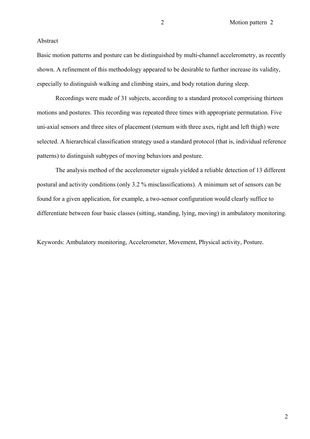#### Abstract

Basic motion patterns and posture can be distinguished by multi-channel accelerometry, as recently shown. A refinement of this methodology appeared to be desirable to further increase its validity, especially to distinguish walking and climbing stairs, and body rotation during sleep.

Recordings were made of 31 subjects, according to a standard protocol comprising thirteen motions and postures. This recording was repeated three times with appropriate permutation. Five uni-axial sensors and three sites of placement (sternum with three axes, right and left thigh) were selected. A hierarchical classification strategy used a standard protocol (that is, individual reference patterns) to distinguish subtypes of moving behaviors and posture.

The analysis method of the accelerometer signals yielded a reliable detection of 13 different postural and activity conditions (only 3.2 % misclassifications). A minimum set of sensors can be found for a given application, for example, a two-sensor configuration would clearly suffice to differentiate between four basic classes (sitting, standing, lying, moving) in ambulatory monitoring.

Keywords: Ambulatory monitoring, Accelerometer, Movement, Physical activity, Posture.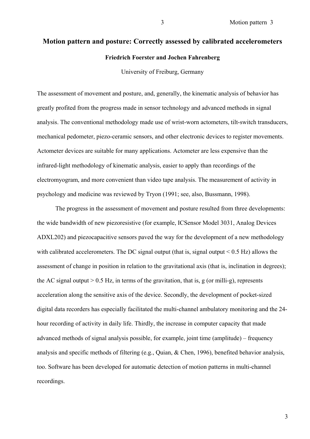# **Motion pattern and posture: Correctly assessed by calibrated accelerometers Friedrich Foerster and Jochen Fahrenberg**

University of Freiburg, Germany

The assessment of movement and posture, and, generally, the kinematic analysis of behavior has greatly profited from the progress made in sensor technology and advanced methods in signal analysis. The conventional methodology made use of wrist-worn actometers, tilt-switch transducers, mechanical pedometer, piezo-ceramic sensors, and other electronic devices to register movements. Actometer devices are suitable for many applications. Actometer are less expensive than the infrared-light methodology of kinematic analysis, easier to apply than recordings of the electromyogram, and more convenient than video tape analysis. The measurement of activity in psychology and medicine was reviewed by Tryon (1991; see, also, Bussmann, 1998).

The progress in the assessment of movement and posture resulted from three developments: the wide bandwidth of new piezoresistive (for example, ICSensor Model 3031, Analog Devices ADXL202) and piezocapacitive sensors paved the way for the development of a new methodology with calibrated accelerometers. The DC signal output (that is, signal output  $\leq 0.5$  Hz) allows the assessment of change in position in relation to the gravitational axis (that is, inclination in degrees); the AC signal output  $> 0.5$  Hz, in terms of the gravitation, that is, g (or milli-g), represents acceleration along the sensitive axis of the device. Secondly, the development of pocket-sized digital data recorders has especially facilitated the multi-channel ambulatory monitoring and the 24 hour recording of activity in daily life. Thirdly, the increase in computer capacity that made advanced methods of signal analysis possible, for example, joint time (amplitude) – frequency analysis and specific methods of filtering (e.g., Quian, & Chen, 1996), benefited behavior analysis, too. Software has been developed for automatic detection of motion patterns in multi-channel recordings.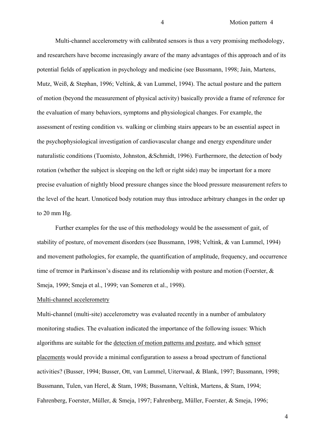Multi-channel accelerometry with calibrated sensors is thus a very promising methodology, and researchers have become increasingly aware of the many advantages of this approach and of its potential fields of application in psychology and medicine (see Bussmann, 1998; Jain, Martens, Mutz, Weiß, & Stephan, 1996; Veltink, & van Lummel, 1994). The actual posture and the pattern of motion (beyond the measurement of physical activity) basically provide a frame of reference for the evaluation of many behaviors, symptoms and physiological changes. For example, the assessment of resting condition vs. walking or climbing stairs appears to be an essential aspect in the psychophysiological investigation of cardiovascular change and energy expenditure under naturalistic conditions (Tuomisto, Johnston, &Schmidt, 1996). Furthermore, the detection of body rotation (whether the subject is sleeping on the left or right side) may be important for a more precise evaluation of nightly blood pressure changes since the blood pressure measurement refers to the level of the heart. Unnoticed body rotation may thus introduce arbitrary changes in the order up to 20 mm Hg.

Further examples for the use of this methodology would be the assessment of gait, of stability of posture, of movement disorders (see Bussmann, 1998; Veltink, & van Lummel, 1994) and movement pathologies, for example, the quantification of amplitude, frequency, and occurrence time of tremor in Parkinson's disease and its relationship with posture and motion (Foerster, & Smeja, 1999; Smeja et al., 1999; van Someren et al., 1998).

#### Multi-channel accelerometry

Multi-channel (multi-site) accelerometry was evaluated recently in a number of ambulatory monitoring studies. The evaluation indicated the importance of the following issues: Which algorithms are suitable for the detection of motion patterns and posture, and which sensor placements would provide a minimal configuration to assess a broad spectrum of functional activities? (Busser, 1994; Busser, Ott, van Lummel, Uiterwaal, & Blank, 1997; Bussmann, 1998; Bussmann, Tulen, van Herel, & Stam, 1998; Bussmann, Veltink, Martens, & Stam, 1994; Fahrenberg, Foerster, Müller, & Smeja, 1997; Fahrenberg, Müller, Foerster, & Smeja, 1996;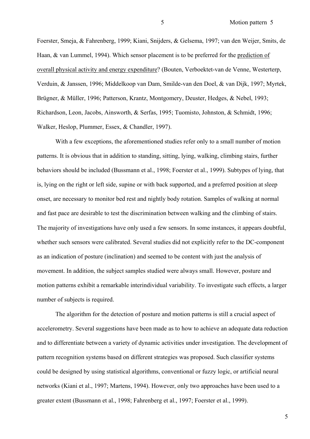Foerster, Smeja, & Fahrenberg, 1999; Kiani, Snijders, & Gelsema, 1997; van den Weijer, Smits, de Haan, & van Lummel, 1994). Which sensor placement is to be preferred for the prediction of overall physical activity and energy expenditure? (Bouten, Verboektet-van de Venne, Westerterp, Verduin, & Janssen, 1996; Middelkoop van Dam, Smilde-van den Doel, & van Dijk, 1997; Myrtek, Brügner, & Müller, 1996; Patterson, Krantz, Montgomery, Deuster, Hedges, & Nebel, 1993; Richardson, Leon, Jacobs, Ainsworth, & Serfas, 1995; Tuomisto, Johnston, & Schmidt, 1996; Walker, Heslop, Plummer, Essex, & Chandler, 1997).

With a few exceptions, the aforementioned studies refer only to a small number of motion patterns. It is obvious that in addition to standing, sitting, lying, walking, climbing stairs, further behaviors should be included (Bussmann et al., 1998; Foerster et al., 1999). Subtypes of lying, that is, lying on the right or left side, supine or with back supported, and a preferred position at sleep onset, are necessary to monitor bed rest and nightly body rotation. Samples of walking at normal and fast pace are desirable to test the discrimination between walking and the climbing of stairs. The majority of investigations have only used a few sensors. In some instances, it appears doubtful, whether such sensors were calibrated. Several studies did not explicitly refer to the DC-component as an indication of posture (inclination) and seemed to be content with just the analysis of movement. In addition, the subject samples studied were always small. However, posture and motion patterns exhibit a remarkable interindividual variability. To investigate such effects, a larger number of subjects is required.

The algorithm for the detection of posture and motion patterns is still a crucial aspect of accelerometry. Several suggestions have been made as to how to achieve an adequate data reduction and to differentiate between a variety of dynamic activities under investigation. The development of pattern recognition systems based on different strategies was proposed. Such classifier systems could be designed by using statistical algorithms, conventional or fuzzy logic, or artificial neural networks (Kiani et al., 1997; Martens, 1994). However, only two approaches have been used to a greater extent (Bussmann et al., 1998; Fahrenberg et al., 1997; Foerster et al., 1999).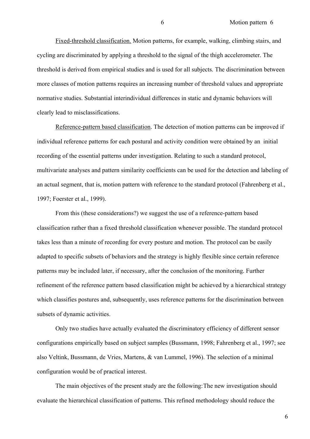Fixed-threshold classification. Motion patterns, for example, walking, climbing stairs, and cycling are discriminated by applying a threshold to the signal of the thigh accelerometer. The threshold is derived from empirical studies and is used for all subjects. The discrimination between more classes of motion patterns requires an increasing number of threshold values and appropriate normative studies. Substantial interindividual differences in static and dynamic behaviors will clearly lead to misclassifications.

Reference-pattern based classification. The detection of motion patterns can be improved if individual reference patterns for each postural and activity condition were obtained by an initial recording of the essential patterns under investigation. Relating to such a standard protocol, multivariate analyses and pattern similarity coefficients can be used for the detection and labeling of an actual segment, that is, motion pattern with reference to the standard protocol (Fahrenberg et al., 1997; Foerster et al., 1999).

From this (these considerations?) we suggest the use of a reference-pattern based classification rather than a fixed threshold classification whenever possible. The standard protocol takes less than a minute of recording for every posture and motion. The protocol can be easily adapted to specific subsets of behaviors and the strategy is highly flexible since certain reference patterns may be included later, if necessary, after the conclusion of the monitoring. Further refinement of the reference pattern based classification might be achieved by a hierarchical strategy which classifies postures and, subsequently, uses reference patterns for the discrimination between subsets of dynamic activities.

Only two studies have actually evaluated the discriminatory efficiency of different sensor configurations empirically based on subject samples (Bussmann, 1998; Fahrenberg et al., 1997; see also Veltink, Bussmann, de Vries, Martens, & van Lummel, 1996). The selection of a minimal configuration would be of practical interest.

The main objectives of the present study are the following: The new investigation should evaluate the hierarchical classification of patterns. This refined methodology should reduce the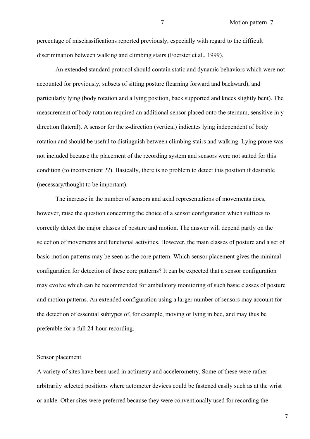percentage of misclassifications reported previously, especially with regard to the difficult discrimination between walking and climbing stairs (Foerster et al., 1999).

An extended standard protocol should contain static and dynamic behaviors which were not accounted for previously, subsets of sitting posture (learning forward and backward), and particularly lying (body rotation and a lying position, back supported and knees slightly bent). The measurement of body rotation required an additional sensor placed onto the sternum, sensitive in ydirection (lateral). A sensor for the z-direction (vertical) indicates lying independent of body rotation and should be useful to distinguish between climbing stairs and walking. Lying prone was not included because the placement of the recording system and sensors were not suited for this condition (to inconvenient ??). Basically, there is no problem to detect this position if desirable (necessary/thought to be important).

The increase in the number of sensors and axial representations of movements does, however, raise the question concerning the choice of a sensor configuration which suffices to correctly detect the major classes of posture and motion. The answer will depend partly on the selection of movements and functional activities. However, the main classes of posture and a set of basic motion patterns may be seen as the core pattern. Which sensor placement gives the minimal configuration for detection of these core patterns? It can be expected that a sensor configuration may evolve which can be recommended for ambulatory monitoring of such basic classes of posture and motion patterns. An extended configuration using a larger number of sensors may account for the detection of essential subtypes of, for example, moving or lying in bed, and may thus be preferable for a full 24-hour recording.

#### Sensor placement

A variety of sites have been used in actimetry and accelerometry. Some of these were rather arbitrarily selected positions where actometer devices could be fastened easily such as at the wrist or ankle. Other sites were preferred because they were conventionally used for recording the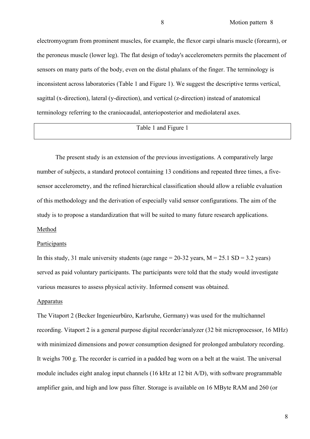electromyogram from prominent muscles, for example, the flexor carpi ulnaris muscle (forearm), or the peroneus muscle (lower leg). The flat design of today's accelerometers permits the placement of sensors on many parts of the body, even on the distal phalanx of the finger. The terminology is inconsistent across laboratories (Table 1 and Figure 1). We suggest the descriptive terms vertical, sagittal (x-direction), lateral (y-direction), and vertical (z-direction) instead of anatomical terminology referring to the craniocaudal, anterioposterior and mediolateral axes.

## Table 1 and Figure 1

The present study is an extension of the previous investigations. A comparatively large number of subjects, a standard protocol containing 13 conditions and repeated three times, a fivesensor accelerometry, and the refined hierarchical classification should allow a reliable evaluation of this methodology and the derivation of especially valid sensor configurations. The aim of the study is to propose a standardization that will be suited to many future research applications.

#### Method

#### Participants

In this study, 31 male university students (age range =  $20-32$  years, M =  $25.1$  SD =  $3.2$  years) served as paid voluntary participants. The participants were told that the study would investigate various measures to assess physical activity. Informed consent was obtained.

#### Apparatus

The Vitaport 2 (Becker Ingenieurbüro, Karlsruhe, Germany) was used for the multichannel recording. Vitaport 2 is a general purpose digital recorder/analyzer (32 bit microprocessor, 16 MHz) with minimized dimensions and power consumption designed for prolonged ambulatory recording. It weighs 700 g. The recorder is carried in a padded bag worn on a belt at the waist. The universal module includes eight analog input channels (16 kHz at 12 bit A/D), with software programmable amplifier gain, and high and low pass filter. Storage is available on 16 MByte RAM and 260 (or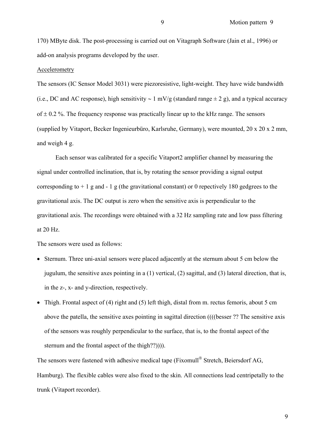170) MByte disk. The post-processing is carried out on Vitagraph Software (Jain et al., 1996) or add-on analysis programs developed by the user.

#### Accelerometry

The sensors (IC Sensor Model 3031) were piezoresistive, light-weight. They have wide bandwidth (i.e., DC and AC response), high sensitivity ~ 1 mV/g (standard range  $\pm$  2 g), and a typical accuracy of  $\pm$  0.2 %. The frequency response was practically linear up to the kHz range. The sensors (supplied by Vitaport, Becker Ingenieurbüro, Karlsruhe, Germany), were mounted, 20 x 20 x 2 mm, and weigh 4 g.

Each sensor was calibrated for a specific Vitaport2 amplifier channel by measuring the signal under controlled inclination, that is, by rotating the sensor providing a signal output corresponding to  $+1$  g and  $-1$  g (the gravitational constant) or 0 repectively 180 gedgrees to the gravitational axis. The DC output is zero when the sensitive axis is perpendicular to the gravitational axis. The recordings were obtained with a 32 Hz sampling rate and low pass filtering at 20 Hz.

The sensors were used as follows:

- Sternum. Three uni-axial sensors were placed adjacently at the sternum about 5 cm below the jugulum, the sensitive axes pointing in a (1) vertical, (2) sagittal, and (3) lateral direction, that is, in the z-, x- and y-direction, respectively.
- Thigh. Frontal aspect of (4) right and (5) left thigh, distal from m. rectus femoris, about 5 cm above the patella, the sensitive axes pointing in sagittal direction ((((besser ?? The sensitive axis of the sensors was roughly perpendicular to the surface, that is, to the frontal aspect of the sternum and the frontal aspect of the thigh??)))).

The sensors were fastened with adhesive medical tape (Fixomull<sup>®</sup> Stretch, Beiersdorf AG, Hamburg). The flexible cables were also fixed to the skin. All connections lead centripetally to the trunk (Vitaport recorder).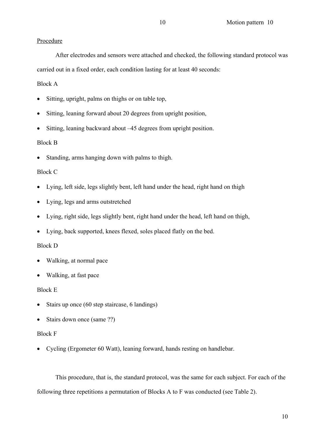## Procedure

After electrodes and sensors were attached and checked, the following standard protocol was carried out in a fixed order, each condition lasting for at least 40 seconds:

## Block A

- Sitting, upright, palms on thighs or on table top,
- Sitting, leaning forward about 20 degrees from upright position,
- Sitting, leaning backward about –45 degrees from upright position.

## Block B

• Standing, arms hanging down with palms to thigh.

## Block C

- Lying, left side, legs slightly bent, left hand under the head, right hand on thigh
- Lying, legs and arms outstretched
- Lying, right side, legs slightly bent, right hand under the head, left hand on thigh,
- Lying, back supported, knees flexed, soles placed flatly on the bed.

## Block D

- Walking, at normal pace
- Walking, at fast pace

## Block E

- Stairs up once (60 step staircase, 6 landings)
- Stairs down once (same ??)

## Block F

• Cycling (Ergometer 60 Watt), leaning forward, hands resting on handlebar.

This procedure, that is, the standard protocol, was the same for each subject. For each of the following three repetitions a permutation of Blocks A to F was conducted (see Table 2).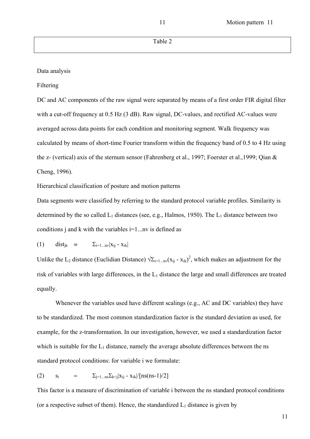Data analysis

Filtering

DC and AC components of the raw signal were separated by means of a first order FIR digital filter with a cut-off frequency at 0.5 Hz (3 dB). Raw signal, DC-values, and rectified AC-values were averaged across data points for each condition and monitoring segment. Walk frequency was calculated by means of short-time Fourier transform within the frequency band of 0.5 to 4 Hz using the z- (vertical) axis of the sternum sensor (Fahrenberg et al., 1997; Foerster et al.,1999; Qian & Cheng, 1996).

Hierarchical classification of posture and motion patterns

Data segments were classified by referring to the standard protocol variable profiles. Similarity is determined by the so called  $L_1$  distances (see, e.g., Halmos, 1950). The  $L_1$  distance between two conditions j and k with the variables  $i=1...nv$  is defined as

$$
(1) \qquad dist_{jk} \quad = \qquad \sum_{i=1...n} |x_{ij} - x_{ik}|
$$

Unlike the L<sub>2</sub> distance (Euclidian Distance)  $\sqrt{\Sigma_{i=1...n}}(x_{ij} - x_{ik})^2$ , which makes an adjustment for the risk of variables with large differences, in the  $L_1$  distance the large and small differences are treated equally.

Whenever the variables used have different scalings (e.g., AC and DC variables) they have to be standardized. The most common standardization factor is the standard deviation as used, for example, for the z-transformation. In our investigation, however, we used a standardization factor which is suitable for the  $L_1$  distance, namely the average absolute differences between the ns standard protocol conditions: for variable i we formulate:

(2) 
$$
s_i = \sum_{j=1...n} \sum_{k \le j} |x_{ij} - x_{ik}| / [ns(ns-1)/2]
$$

This factor is a measure of discrimination of variable i between the ns standard protocol conditions (or a respective subset of them). Hence, the standardized  $L_1$  distance is given by

11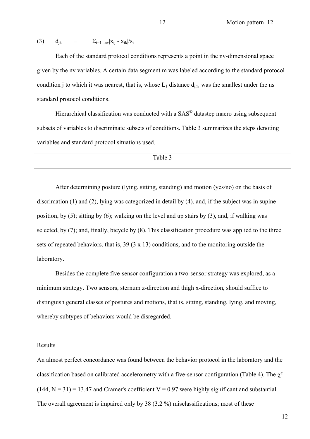(3) 
$$
d_{jk} = \sum_{i=1...n} |x_{ij} - x_{ik}|/s_i
$$

Each of the standard protocol conditions represents a point in the nv-dimensional space given by the nv variables. A certain data segment m was labeled according to the standard protocol condition i to which it was nearest, that is, whose  $L_1$  distance  $d_{im}$  was the smallest under the ns standard protocol conditions.

 Hierarchical classification was conducted with a SAS**©** datastep macro using subsequent subsets of variables to discriminate subsets of conditions. Table 3 summarizes the steps denoting variables and standard protocol situations used.

Table 3

After determining posture (lying, sitting, standing) and motion (yes/no) on the basis of discrimation (1) and (2), lying was categorized in detail by (4), and, if the subject was in supine position, by (5); sitting by (6); walking on the level and up stairs by (3), and, if walking was selected, by (7); and, finally, bicycle by (8). This classification procedure was applied to the three sets of repeated behaviors, that is,  $39(3 \times 13)$  conditions, and to the monitoring outside the laboratory.

Besides the complete five-sensor configuration a two-sensor strategy was explored, as a minimum strategy. Two sensors, sternum z-direction and thigh x-direction, should suffice to distinguish general classes of postures and motions, that is, sitting, standing, lying, and moving, whereby subtypes of behaviors would be disregarded.

#### Results

An almost perfect concordance was found between the behavior protocol in the laboratory and the classification based on calibrated accelerometry with a five-sensor configuration (Table 4). The  $\chi^2$  $(144, N = 31) = 13.47$  and Cramer's coefficient V = 0.97 were highly significant and substantial. The overall agreement is impaired only by 38 (3.2 %) misclassifications; most of these

12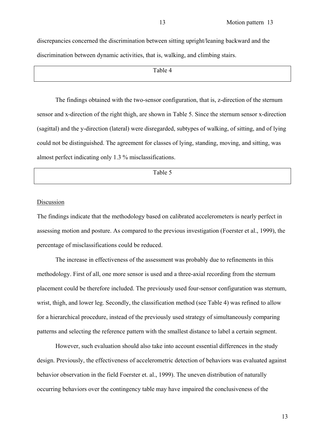discrepancies concerned the discrimination between sitting upright/leaning backward and the discrimination between dynamic activities, that is, walking, and climbing stairs.

Table 4

The findings obtained with the two-sensor configuration, that is, z-direction of the sternum sensor and x-direction of the right thigh, are shown in Table 5. Since the sternum sensor x-direction (sagittal) and the y-direction (lateral) were disregarded, subtypes of walking, of sitting, and of lying could not be distinguished. The agreement for classes of lying, standing, moving, and sitting, was almost perfect indicating only 1.3 % misclassifications.

Table 5

#### Discussion

The findings indicate that the methodology based on calibrated accelerometers is nearly perfect in assessing motion and posture. As compared to the previous investigation (Foerster et al., 1999), the percentage of misclassifications could be reduced.

The increase in effectiveness of the assessment was probably due to refinements in this methodology. First of all, one more sensor is used and a three-axial recording from the sternum placement could be therefore included. The previously used four-sensor configuration was sternum, wrist, thigh, and lower leg. Secondly, the classification method (see Table 4) was refined to allow for a hierarchical procedure, instead of the previously used strategy of simultaneously comparing patterns and selecting the reference pattern with the smallest distance to label a certain segment.

However, such evaluation should also take into account essential differences in the study design. Previously, the effectiveness of accelerometric detection of behaviors was evaluated against behavior observation in the field Foerster et. al., 1999). The uneven distribution of naturally occurring behaviors over the contingency table may have impaired the conclusiveness of the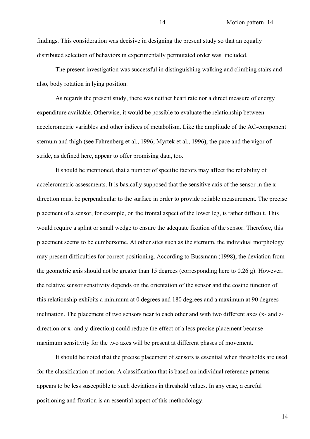findings. This consideration was decisive in designing the present study so that an equally distributed selection of behaviors in experimentally permutated order was included.

 The present investigation was successful in distinguishing walking and climbing stairs and also, body rotation in lying position.

As regards the present study, there was neither heart rate nor a direct measure of energy expenditure available. Otherwise, it would be possible to evaluate the relationship between accelerometric variables and other indices of metabolism. Like the amplitude of the AC-component sternum and thigh (see Fahrenberg et al., 1996; Myrtek et al., 1996), the pace and the vigor of stride, as defined here, appear to offer promising data, too.

It should be mentioned, that a number of specific factors may affect the reliability of accelerometric assessments. It is basically supposed that the sensitive axis of the sensor in the xdirection must be perpendicular to the surface in order to provide reliable measurement. The precise placement of a sensor, for example, on the frontal aspect of the lower leg, is rather difficult. This would require a splint or small wedge to ensure the adequate fixation of the sensor. Therefore, this placement seems to be cumbersome. At other sites such as the sternum, the individual morphology may present difficulties for correct positioning. According to Bussmann (1998), the deviation from the geometric axis should not be greater than 15 degrees (corresponding here to 0.26 g). However, the relative sensor sensitivity depends on the orientation of the sensor and the cosine function of this relationship exhibits a minimum at 0 degrees and 180 degrees and a maximum at 90 degrees inclination. The placement of two sensors near to each other and with two different axes (x- and zdirection or x- and y-direction) could reduce the effect of a less precise placement because maximum sensitivity for the two axes will be present at different phases of movement.

It should be noted that the precise placement of sensors is essential when thresholds are used for the classification of motion. A classification that is based on individual reference patterns appears to be less susceptible to such deviations in threshold values. In any case, a careful positioning and fixation is an essential aspect of this methodology.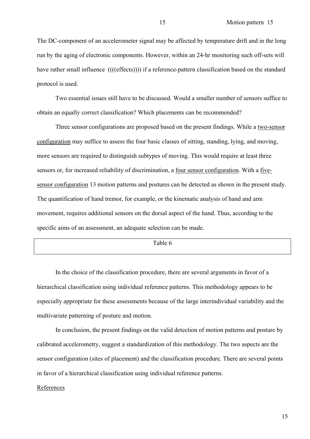The DC-component of an accelerometer signal may be affected by temperature drift and in the long run by the aging of electronic components. However, within an 24-hr monitoring such off-sets will have rather small influence ((((effects)))) if a reference-pattern classification based on the standard protocol is used.

Two essential issues still have to be discussed. Would a smaller number of sensors suffice to obtain an equally correct classification? Which placements can be recommended?

Three sensor configurations are proposed based on the present findings. While a two-sensor configuration may suffice to assess the four basic classes of sitting, standing, lying, and moving, more sensors are required to distinguish subtypes of moving. This would require at least three sensors or, for increased reliability of discrimination, a four sensor configuration. With a fivesensor configuration 13 motion patterns and postures can be detected as shown in the present study. The quantification of hand tremor, for example, or the kinematic analysis of hand and arm movement, requires additional sensors on the dorsal aspect of the hand. Thus, according to the specific aims of an assessment, an adequate selection can be made.

Table 6

In the choice of the classification procedure, there are several arguments in favor of a hierarchical classification using individual reference patterns. This methodology appears to be especially appropriate for these assessments because of the large interindividual variability and the multivariate patterning of posture and motion.

In conclusion, the present findings on the valid detection of motion patterns and posture by calibrated accelerometry, suggest a standardization of this methodology. The two aspects are the sensor configuration (sites of placement) and the classification procedure. There are several points in favor of a hierarchical classification using individual reference patterns.

#### References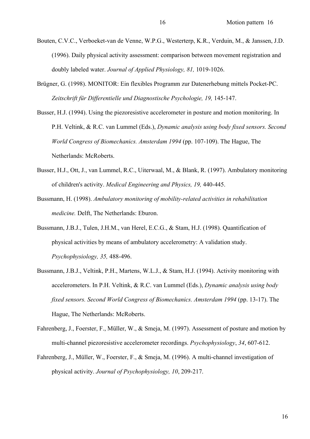- Bouten, C.V.C., Verboeket-van de Venne, W.P.G., Westerterp, K.R., Verduin, M., & Janssen, J.D. (1996). Daily physical activity assessment: comparison between movement registration and doubly labeled water. *Journal of Applied Physiology, 81,* 1019-1026.
- Brügner, G. (1998). MONITOR: Ein flexibles Programm zur Datenerhebung mittels Pocket-PC. *Zeitschrift für Differentielle und Diagnostische Psychologie, 19,* 145-147.
- Busser, H.J. (1994). Using the piezoresistive accelerometer in posture and motion monitoring. In P.H. Veltink, & R.C. van Lummel (Eds.), *Dynamic analysis using body fixed sensors. Second World Congress of Biomechanics. Amsterdam 1994* (pp. 107-109). The Hague, The Netherlands: McRoberts.
- Busser, H.J., Ott, J., van Lummel, R.C., Uiterwaal, M., & Blank, R. (1997). Ambulatory monitoring of children's activity. *Medical Engineering and Physics, 19,* 440-445.
- Bussmann, H. (1998). *Ambulatory monitoring of mobility-related activities in rehabilitation medicine.* Delft, The Netherlands: Eburon.
- Bussmann, J.B.J., Tulen, J.H.M., van Herel, E.C.G., & Stam, H.J. (1998). Quantification of physical activities by means of ambulatory accelerometry: A validation study. *Psychophysiology, 35,* 488-496.
- Bussmann, J.B.J., Veltink, P.H., Martens, W.L.J., & Stam, H.J. (1994). Activity monitoring with accelerometers. In P.H. Veltink, & R.C. van Lummel (Eds.), *Dynamic analysis using body fixed sensors. Second World Congress of Biomechanics. Amsterdam 1994* (pp. 13-17). The Hague, The Netherlands: McRoberts.
- Fahrenberg, J., Foerster, F., Müller, W., & Smeja, M. (1997). Assessment of posture and motion by multi-channel piezoresistive accelerometer recordings. *Psychophysiology*, *34*, 607-612.
- Fahrenberg, J., Müller, W., Foerster, F., & Smeja, M. (1996). A multi-channel investigation of physical activity. *Journal of Psychophysiology, 10*, 209-217.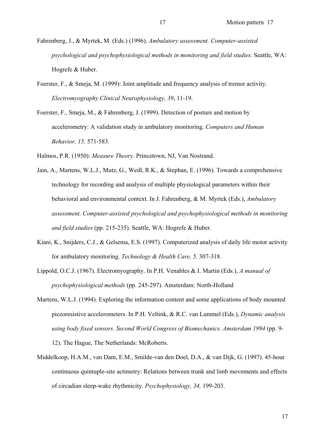Fahrenberg, J., & Myrtek, M. (Eds.) (1996). *Ambulatory assessment. Computer-assisted psychological and psychophysiological methods in monitoring and field studies.* Seattle, WA: Hogrefe & Huber.

- Foerster, F., & Smeja, M. (1999): Joint amplitude and frequency analysis of tremor activity. *Electromyography Clinical Neurophysiology, 39*, 11-19.
- Foerster, F., Smeja, M., & Fahrenberg, J. (1999). Detection of posture and motion by accelerometry: A validation study in ambulatory monitoring. *Computers and Human Behavior, 15,* 571-583*.*

Halmos, P.R. (1950): *Measure Theory.* Princetown, NJ, Van Nostrand.

- Jain, A., Martens, W.L.J., Mutz, G., Weiß, R.K., & Stephan, E. (1996). Towards a comprehensive technology for recording and analysis of multiple physiological parameters within their behavioral and environmental context. In J. Fahrenberg, & M. Myrtek (Eds.), *Ambulatory assessment. Computer-assisted psychological and psychophysiological methods in monitoring and field studies* (pp. 215-235). Seattle, WA: Hogrefe & Huber.
- Kiani, K., Snijders, C.J., & Gelsema, E.S. (1997). Computerized analysis of daily life motor activity for ambulatory monitoring. *Technology & Health Care, 5,* 307-318.
- Lippold, O.C.J. (1967). Electromyography. In P.H. Venables & I. Martin (Eds.), *A manual of psychophysiological methods* (pp. 245-297). Amsterdam: North-Holland
- Martens, W.L.J. (1994). Exploring the information content and some applications of body mounted piezoresistive accelerometers. In P.H. Veltink, & R.C. van Lummel (Eds.), *Dynamic analysis using body fixed sensors. Second World Congress of Biomechanics. Amsterdam 1994* (pp. 9- 12). The Hague, The Netherlands: McRoberts.
- Middelkoop, H.A.M., van Dam, E.M., Smilde-van den Doel, D.A., & van Dijk, G. (1997). 45-hour continuous quintuple-site actimetry: Relations between trunk and limb movements and effects of circadian sleep-wake rhythmicity. *Psychophysiology, 34,* 199-203.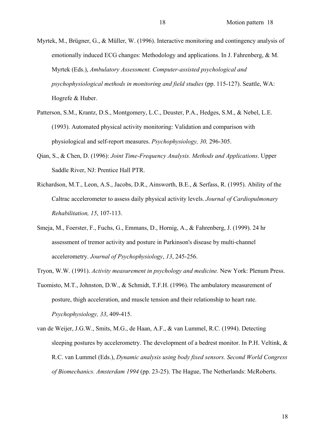Myrtek, M., Brügner, G., & Müller, W. (1996). Interactive monitoring and contingency analysis of emotionally induced ECG changes: Methodology and applications. In J. Fahrenberg, & M. Myrtek (Eds.), *Ambulatory Assessment. Computer-assisted psychological and psychophysiological methods in monitoring and field studies* (pp. 115-127). Seattle, WA: Hogrefe & Huber.

Patterson, S.M., Krantz, D.S., Montgomery, L.C., Deuster, P.A., Hedges, S.M., & Nebel, L.E. (1993). Automated physical activity monitoring: Validation and comparison with physiological and self-report measures. *Psychophysiology, 30,* 296-305.

- Qian, S., & Chen, D. (1996): *Joint Time-Frequency Analysis. Methods and Applications*. Upper Saddle River, NJ: Prentice Hall PTR.
- Richardson, M.T., Leon, A.S., Jacobs, D.R., Ainsworth, B.E., & Serfass, R. (1995). Ability of the Caltrac accelerometer to assess daily physical activity levels. *Journal of Cardiopulmonary Rehabilitation, 15*, 107-113.
- Smeja, M., Foerster, F., Fuchs, G., Emmans, D., Hornig, A., & Fahrenberg, J. (1999). 24 hr assessment of tremor activity and posture in Parkinson's disease by multi-channel accelerometry. *Journal of Psychophysiology*, *13*, 245-256.

Tryon, W.W. (1991). *Activity measurement in psychology and medicine.* New York: Plenum Press.

- Tuomisto, M.T., Johnston, D.W., & Schmidt, T.F.H. (1996). The ambulatory measurement of posture, thigh acceleration, and muscle tension and their relationship to heart rate. *Psychophysiology, 33*, 409-415.
- van de Weijer, J.G.W., Smits, M.G., de Haan, A.F., & van Lummel, R.C. (1994). Detecting sleeping postures by accelerometry. The development of a bedrest monitor. In P.H. Veltink, & R.C. van Lummel (Eds.), *Dynamic analysis using body fixed sensors. Second World Congress of Biomechanics. Amsterdam 1994* (pp. 23-25). The Hague, The Netherlands: McRoberts.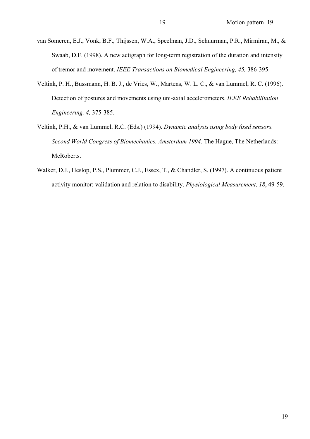- van Someren, E.J., Vonk, B.F., Thijssen, W.A., Speelman, J.D., Schuurman, P.R., Mirmiran, M., & Swaab, D.F. (1998). A new actigraph for long-term registration of the duration and intensity of tremor and movement. *IEEE Transactions on Biomedical Engineering, 45,* 386-395.
- Veltink, P. H., Bussmann, H. B. J., de Vries, W., Martens, W. L. C., & van Lummel, R. C. (1996). Detection of postures and movements using uni-axial accelerometers. *IEEE Rehabilitation Engineering, 4,* 375-385.
- Veltink, P.H., & van Lummel, R.C. (Eds.) (1994). *Dynamic analysis using body fixed sensors. Second World Congress of Biomechanics. Amsterdam 1994*. The Hague, The Netherlands: McRoberts.
- Walker, D.J., Heslop, P.S., Plummer, C.J., Essex, T., & Chandler, S. (1997). A continuous patient activity monitor: validation and relation to disability. *Physiological Measurement, 18*, 49-59.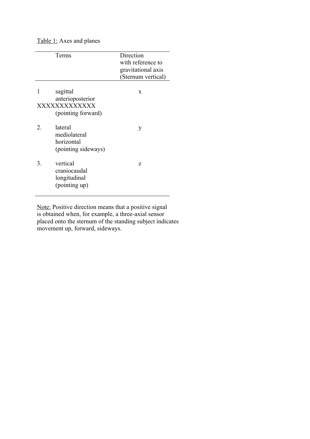## Table 1: Axes and planes

|               | Terms                                                              | Direction<br>with reference to<br>gravitational axis<br>(Sternum vertical) |
|---------------|--------------------------------------------------------------------|----------------------------------------------------------------------------|
| 1             | sagittal<br>anterioposterior<br>XXXXXXXXXXXX<br>(pointing forward) | X                                                                          |
| $\mathcal{L}$ | lateral<br>mediolateral<br>horizontal<br>(pointing sideways)       | y                                                                          |
| 3.            | vertical<br>craniocaudal<br>longitudinal<br>(pointing up)          | Z                                                                          |

Note: Positive direction means that a positive signal is obtained when, for example, a three-axial sensor placed onto the sternum of the standing subject indicates movement up, forward, sideways.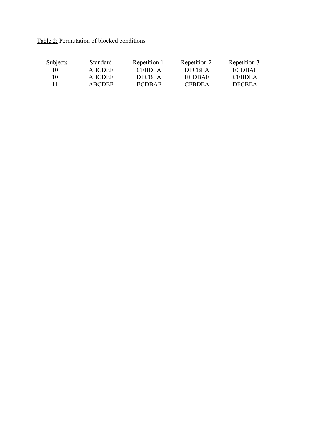Table 2: Permutation of blocked conditions

| Subjects | Standard | Repetition 1  | Repetition 2  | Repetition 3  |
|----------|----------|---------------|---------------|---------------|
| 10       | ARCDEE   | <b>CFRDEA</b> | <b>DECREA</b> | ECDBAF        |
| 10       | ARCDEF   | <b>DECREA</b> | ECDRAF        | <b>CFRDEA</b> |
|          | ARCDEE   | ECDRAF        | CERDEA        | <b>DECREA</b> |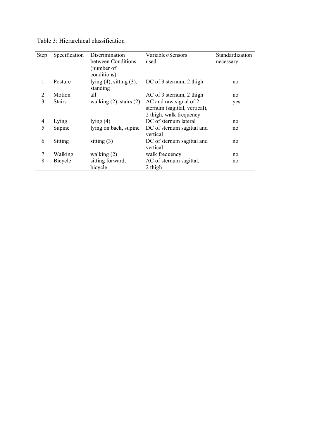| Step | Specification  | Discrimination                | Variables/Sensors             | Standardization |
|------|----------------|-------------------------------|-------------------------------|-----------------|
|      |                | between Conditions            | used                          | necessary       |
|      |                | (number of                    |                               |                 |
|      |                | conditions)                   |                               |                 |
|      | Posture        | lying $(4)$ , sitting $(3)$ , | DC of 3 sternum, 2 thigh      | no              |
|      |                | standing                      |                               |                 |
| 2    | Motion         | all                           | AC of 3 sternum, 2 thigh      | no              |
| 3    | <b>Stairs</b>  | walking $(2)$ , stairs $(2)$  | AC and raw signal of 2        | yes             |
|      |                |                               | sternum (sagittal, vertical), |                 |
|      |                |                               | 2 thigh, walk frequency       |                 |
| 4    | Lying          | lying $(4)$                   | DC of sternum lateral         | no              |
| 5    | Supine         | lying on back, supine         | DC of sternum sagittal and    | no              |
|      |                |                               | vertical                      |                 |
| 6    | Sitting        | sitting $(3)$                 | DC of sternum sagittal and    | no              |
|      |                |                               | vertical                      |                 |
| 7    | Walking        | walking $(2)$                 | walk frequency                | no              |
| 8    | <b>Bicycle</b> | sitting forward,              | AC of sternum sagittal,       | no              |
|      |                | bicycle                       | 2 thigh                       |                 |

Table 3: Hierarchical classification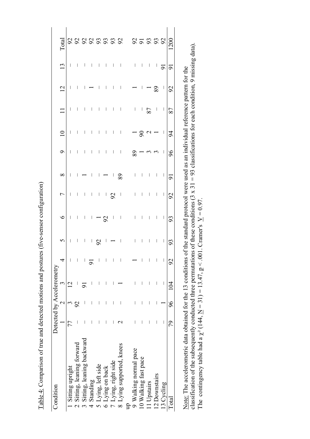Table 4: Comparison of true and detected motions and postures (five-sensor configuration) Table 4: Comparison of true and detected motions and postures (five-sensor configuration)

| Condition                                       | Detected by Accelerometry |                                             |     |                           |                          |               |                          |                                                                              |                                                                      |                          |                          |                                                                                                  |                                                                                                 |                |
|-------------------------------------------------|---------------------------|---------------------------------------------|-----|---------------------------|--------------------------|---------------|--------------------------|------------------------------------------------------------------------------|----------------------------------------------------------------------|--------------------------|--------------------------|--------------------------------------------------------------------------------------------------|-------------------------------------------------------------------------------------------------|----------------|
|                                                 |                           | $\begin{array}{c cc} 1 & 2 & 3 \end{array}$ |     |                           | $\overline{C}$           | $\circ$       |                          | $\infty$                                                                     |                                                                      |                          | $\frac{1}{\sqrt{2}}$     | $\overline{2}$                                                                                   | 13                                                                                              | Total          |
| Sitting upright                                 |                           |                                             |     |                           | $\mid$                   | $\,$ $\,$     | $\blacksquare$           | $\overline{\phantom{a}}$                                                     | $\overline{\phantom{a}}$                                             | $\overline{\phantom{a}}$ |                          | I                                                                                                | $\overline{\phantom{a}}$                                                                        |                |
| Sitting, leaning forward                        |                           | $\mathcal{S}$                               |     |                           |                          |               |                          |                                                                              |                                                                      | $\mathbf{I}$             |                          | $\overline{\phantom{a}}$                                                                         |                                                                                                 |                |
| Sitting, leaning backward<br>$\tilde{\epsilon}$ |                           |                                             |     |                           |                          |               |                          | $\begin{array}{c} 1 \\ -1 \end{array} \begin{array}{c} -1 \\ -1 \end{array}$ |                                                                      |                          |                          |                                                                                                  |                                                                                                 |                |
| 4 Standing                                      |                           |                                             |     |                           |                          |               |                          |                                                                              |                                                                      |                          |                          |                                                                                                  |                                                                                                 |                |
| Lying, left side<br>$\overline{6}$              |                           |                                             |     |                           |                          |               |                          | $1 - 18$                                                                     |                                                                      |                          |                          |                                                                                                  |                                                                                                 |                |
| Lying on back<br>$\bullet$                      |                           |                                             |     |                           |                          |               |                          |                                                                              |                                                                      |                          |                          |                                                                                                  |                                                                                                 |                |
| Lying, right side                               |                           |                                             |     |                           |                          |               |                          |                                                                              |                                                                      |                          |                          |                                                                                                  |                                                                                                 |                |
| 8 Lying supported, knees                        |                           |                                             |     | $1 - \frac{1}{9}$ 1 1 1 1 | $11181 - 11111$          | $117 - 211$   | 1111221                  |                                                                              | $\begin{array}{c} 1 \cdot (1-1) \cdot (1-1) \cdot (1-1) \end{array}$ | $11111 - 789 - 18$       |                          | $\begin{array}{cccccccccccccc} 1 & \leftarrow & 1 & 1 & 1 & 1 & \cdots & \leftarrow \end{array}$ | $\begin{array}{cccccccccccccc} 1 & 1 & 1 & 1 & 1 & 1 & 1 & 1 & 1 & 1 & 1 & 1 & 1 & \end{array}$ | 22223332 25232 |
| gn                                              |                           |                                             |     |                           |                          |               |                          | $\sim 1$                                                                     |                                                                      |                          |                          |                                                                                                  |                                                                                                 |                |
| 9 Walking normal pace                           | I                         | I                                           |     |                           |                          |               |                          |                                                                              |                                                                      |                          |                          |                                                                                                  |                                                                                                 |                |
| 10 Walking fast pace                            |                           |                                             |     |                           |                          | $\mathcal{A}$ | $\overline{\phantom{a}}$ | $\overline{\phantom{a}}$                                                     | $\frac{6}{20}$ – m m 1                                               |                          |                          | $1 - 8$                                                                                          |                                                                                                 |                |
| 11 Upstairs                                     |                           |                                             |     |                           |                          | $\mathbf{I}$  | $\mathcal{A}$            | $\overline{\phantom{a}}$                                                     |                                                                      |                          |                          |                                                                                                  |                                                                                                 |                |
| 12 Downstairs                                   |                           |                                             |     |                           |                          | $\frac{1}{2}$ | $\mathcal{A}$            | $\mathcal{A}$                                                                |                                                                      |                          |                          |                                                                                                  |                                                                                                 |                |
| 13 Cycling                                      |                           |                                             |     |                           | $\overline{\phantom{a}}$ |               | $\vert$                  | $\vert$                                                                      |                                                                      |                          | $\overline{\phantom{a}}$ | $\overline{\phantom{a}}$                                                                         |                                                                                                 |                |
| Total                                           |                           | 79 96                                       | 104 | $\frac{1}{92}$            | 93                       | 93            | 92                       | 91                                                                           | 96 <sup>°</sup>                                                      |                          | 87                       | 92                                                                                               | 91                                                                                              |                |
|                                                 |                           |                                             |     |                           |                          |               |                          |                                                                              |                                                                      |                          |                          |                                                                                                  |                                                                                                 |                |

classification of the subsequently conducted three permutations of these conditions (3 x 31 = 93 classifications for each condition, 9 missing data). classification of the subsequently conducted three permutations of these conditions  $(3 \times 31 = 93$  classifications for each condition, 9 missing data). Note: The accelerometric data obtained for the 13 conditions of the standard protocol were used as an individual reference pattern for the Note: The accelerometric data obtained for the 13 conditions of the standard protocol were used as an individual reference pattern for the The contingency table had a  $\chi^2$  (144, <u>N</u> = 31) = 13.47,  $p \le 0.01$ . Cramer's <u>V</u> = 0.97. The contingency table had a  $\chi^2$  (144, <u>N</u> = 31) = 13.47,  $p < .001$ . Cramer's <u>V</u> = 0.97.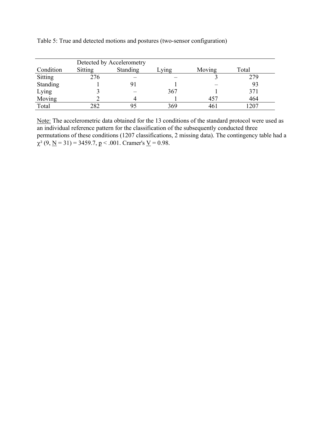|           |                | Detected by Accelerometry |       |              |       |
|-----------|----------------|---------------------------|-------|--------------|-------|
| Condition | <b>Sitting</b> | <b>Standing</b>           | .ying | Moving       | Total |
| Sitting   | 276            |                           |       |              | 279   |
| Standing  |                |                           |       |              | 93    |
| Lying     |                |                           | 367   |              | 371   |
| Moving    |                |                           |       | 457          | 464   |
| Total     | 282            | 95                        | 369   | $46^{\circ}$ | 1207  |

Table 5: True and detected motions and postures (two-sensor configuration)

Note: The accelerometric data obtained for the 13 conditions of the standard protocol were used as an individual reference pattern for the classification of the subsequently conducted three permutations of these conditions (1207 classifications, 2 missing data). The contingency table had a  $\chi^2$  (9, <u>N</u> = 31) = 3459.7, <u>p</u> < .001. Cramer's <u>V</u> = 0.98.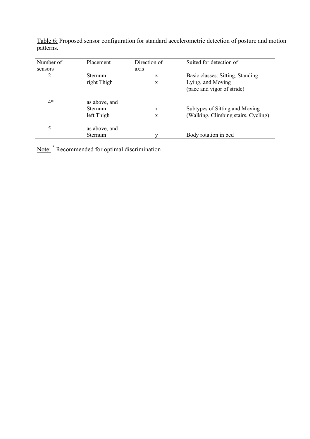| Number of | Placement                                     | Direction of | Suited for detection of                                               |
|-----------|-----------------------------------------------|--------------|-----------------------------------------------------------------------|
| sensors   |                                               | axis         |                                                                       |
| 2         | Sternum                                       | Z            | Basic classes: Sitting, Standing                                      |
|           | right Thigh                                   | $\mathbf{x}$ | Lying, and Moving<br>(pace and vigor of stride)                       |
| $4*$      | as above, and<br><b>Sternum</b><br>left Thigh | X<br>X       | Subtypes of Sitting and Moving<br>(Walking, Climbing stairs, Cycling) |
| 5         | as above, and<br>Sternum                      |              | Body rotation in bed                                                  |

Table 6: Proposed sensor configuration for standard accelerometric detection of posture and motion patterns.

Note: <sup>\*</sup> Recommended for optimal discrimination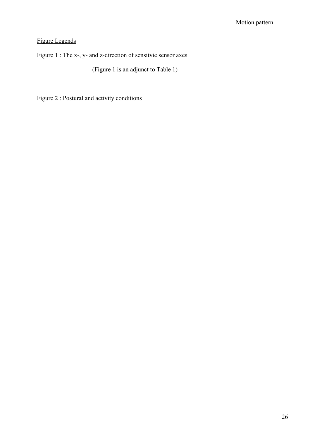# Figure Legends

Figure 1 : The x-, y- and z-direction of sensitvie sensor axes

(Figure 1 is an adjunct to Table 1)

Figure 2 : Postural and activity conditions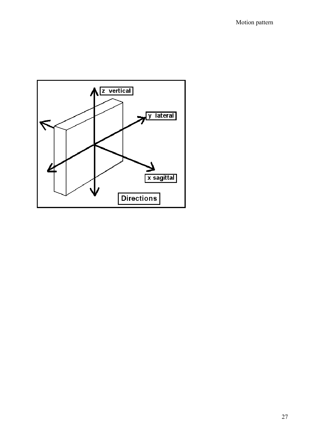